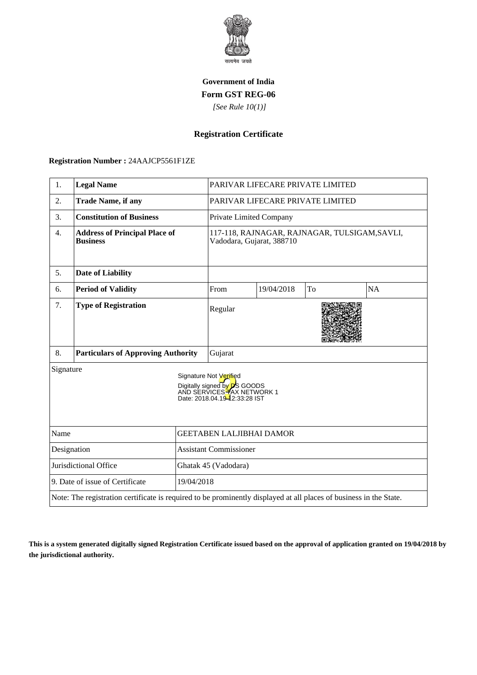

# **Government of India Form GST REG-06**

 *[See Rule 10(1)]*

## **Registration Certificate**

### **Registration Number :** 24AAJCP5561F1ZE

| 1.                                                                                                                                        | <b>Legal Name</b>                                       |                                 |                         | PARIVAR LIFECARE PRIVATE LIMITED |    |                                               |
|-------------------------------------------------------------------------------------------------------------------------------------------|---------------------------------------------------------|---------------------------------|-------------------------|----------------------------------|----|-----------------------------------------------|
| 2.                                                                                                                                        | <b>Trade Name, if any</b>                               |                                 |                         | PARIVAR LIFECARE PRIVATE LIMITED |    |                                               |
| 3.                                                                                                                                        | <b>Constitution of Business</b>                         |                                 | Private Limited Company |                                  |    |                                               |
| $\overline{4}$ .                                                                                                                          | <b>Address of Principal Place of</b><br><b>Business</b> |                                 |                         | Vadodara, Gujarat, 388710        |    | 117-118, RAJNAGAR, RAJNAGAR, TULSIGAM, SAVLI, |
| 5.                                                                                                                                        | <b>Date of Liability</b>                                |                                 |                         |                                  |    |                                               |
| 6.                                                                                                                                        | <b>Period of Validity</b>                               |                                 | From                    | 19/04/2018                       | To | <b>NA</b>                                     |
| 7.                                                                                                                                        | <b>Type of Registration</b>                             |                                 | Regular                 |                                  |    |                                               |
| 8.                                                                                                                                        | <b>Particulars of Approving Authority</b>               |                                 | Gujarat                 |                                  |    |                                               |
| Signature<br>Signature Not Verified<br>Digitally signed by <b>D</b> S GOODS<br>AND SERVICES TAX NETWORK 1<br>Date: 2018.04.19-2:33:28 IST |                                                         |                                 |                         |                                  |    |                                               |
| Name                                                                                                                                      |                                                         | <b>GEETABEN LALJIBHAI DAMOR</b> |                         |                                  |    |                                               |
| Designation                                                                                                                               |                                                         | <b>Assistant Commissioner</b>   |                         |                                  |    |                                               |
| Jurisdictional Office                                                                                                                     |                                                         | Ghatak 45 (Vadodara)            |                         |                                  |    |                                               |
| 9. Date of issue of Certificate<br>19/04/2018                                                                                             |                                                         |                                 |                         |                                  |    |                                               |
| Note: The registration certificate is required to be prominently displayed at all places of business in the State.                        |                                                         |                                 |                         |                                  |    |                                               |

**This is a system generated digitally signed Registration Certificate issued based on the approval of application granted on 19/04/2018 by the jurisdictional authority.**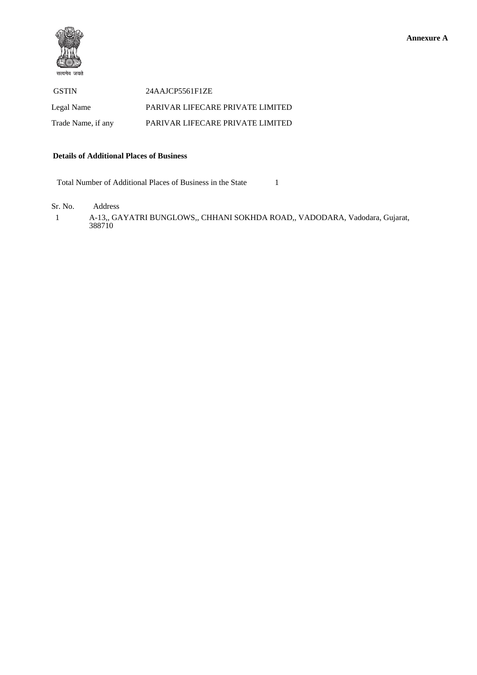

 GSTIN 24AAJCP5561F1ZE Legal Name PARIVAR LIFECARE PRIVATE LIMITED Trade Name, if any PARIVAR LIFECARE PRIVATE LIMITED

#### **Details of Additional Places of Business**

Total Number of Additional Places of Business in the State 1

Sr. No. Address

 1 A-13,, GAYATRI BUNGLOWS,, CHHANI SOKHDA ROAD,, VADODARA, Vadodara, Gujarat, 388710